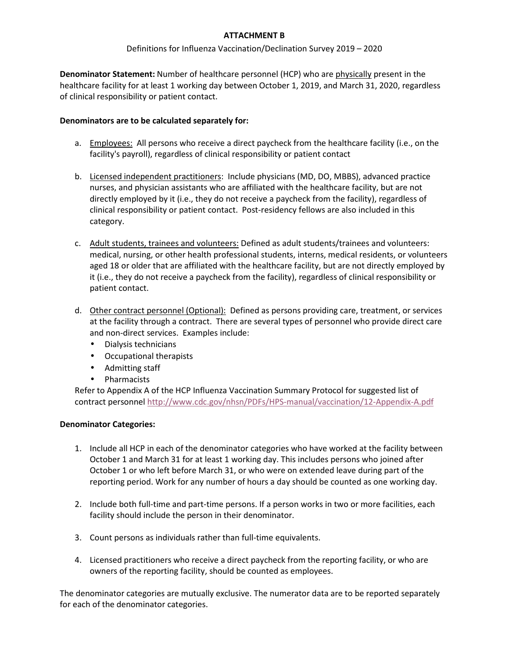# **ATTACHMENT B**

### Definitions for Influenza Vaccination/Declination Survey 2019 – 2020

**Denominator Statement:** Number of healthcare personnel (HCP) who are physically present in the healthcare facility for at least 1 working day between October 1, 2019, and March 31, 2020, regardless of clinical responsibility or patient contact.

### **Denominators are to be calculated separately for:**

- a. Employees: All persons who receive a direct paycheck from the healthcare facility (i.e., on the facility's payroll), regardless of clinical responsibility or patient contact
- b. Licensed independent practitioners: Include physicians (MD, DO, MBBS), advanced practice nurses, and physician assistants who are affiliated with the healthcare facility, but are not directly employed by it (i.e., they do not receive a paycheck from the facility), regardless of clinical responsibility or patient contact. Post-residency fellows are also included in this category.
- c. Adult students, trainees and volunteers: Defined as adult students/trainees and volunteers: medical, nursing, or other health professional students, interns, medical residents, or volunteers aged 18 or older that are affiliated with the healthcare facility, but are not directly employed by it (i.e., they do not receive a paycheck from the facility), regardless of clinical responsibility or patient contact.
- d. Other contract personnel (Optional): Defined as persons providing care, treatment, or services at the facility through a contract. There are several types of personnel who provide direct care and non-direct services. Examples include:
	- Dialysis technicians
	- Occupational therapists
	- Admitting staff
	- Pharmacists

Refer to Appendix A of the HCP Influenza Vaccination Summary Protocol for suggested list of contract personnel http://www.cdc.gov/nhsn/PDFs/HPS-manual/vaccination/12-Appendix-A.pdf

### **Denominator Categories:**

- 1. Include all HCP in each of the denominator categories who have worked at the facility between October 1 and March 31 for at least 1 working day. This includes persons who joined after October 1 or who left before March 31, or who were on extended leave during part of the reporting period. Work for any number of hours a day should be counted as one working day.
- 2. Include both full-time and part-time persons. If a person works in two or more facilities, each facility should include the person in their denominator.
- 3. Count persons as individuals rather than full-time equivalents.
- 4. Licensed practitioners who receive a direct paycheck from the reporting facility, or who are owners of the reporting facility, should be counted as employees.

The denominator categories are mutually exclusive. The numerator data are to be reported separately for each of the denominator categories.